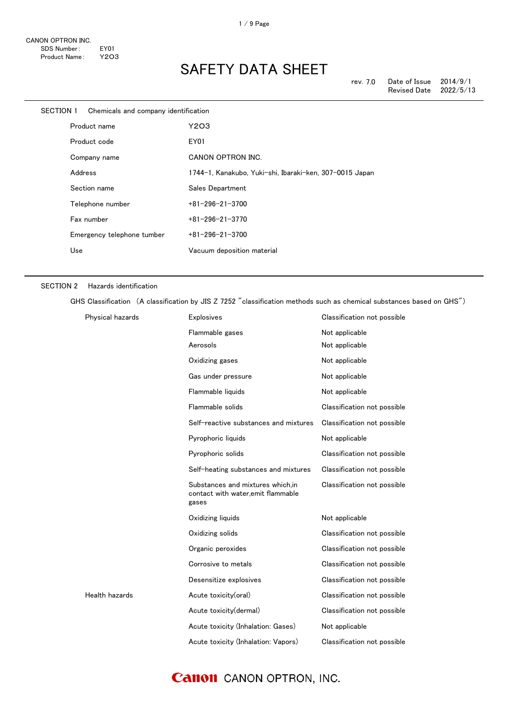| SECTION 1 | Chemicals and company identification |                                                         |
|-----------|--------------------------------------|---------------------------------------------------------|
|           | Product name                         | Y2O3                                                    |
|           | Product code                         | EY01                                                    |
|           | Company name                         | CANON OPTRON INC.                                       |
|           | Address                              | 1744-1, Kanakubo, Yuki-shi, Ibaraki-ken, 307-0015 Japan |
|           | Section name                         | Sales Department                                        |
|           | Telephone number                     | $+81 - 296 - 21 - 3700$                                 |
|           | Fax number                           | $+81 - 296 - 21 - 3770$                                 |
|           | Emergency telephone tumber           | $+81 - 296 - 21 - 3700$                                 |
|           | Use                                  | Vacuum deposition material                              |
|           |                                      |                                                         |

#### SECTION 2 Hazards identification

GHS Classification (A classification by JIS Z 7252 "classification methods such as chemical substances based on GHS")

| Physical hazards | <b>Explosives</b>                                                               | Classification not possible |
|------------------|---------------------------------------------------------------------------------|-----------------------------|
|                  | Flammable gases                                                                 | Not applicable              |
|                  | Aerosols                                                                        | Not applicable              |
|                  | Oxidizing gases                                                                 | Not applicable              |
|                  | Gas under pressure                                                              | Not applicable              |
|                  | Flammable liquids                                                               | Not applicable              |
|                  | Flammable solids                                                                | Classification not possible |
|                  | Self-reactive substances and mixtures                                           | Classification not possible |
|                  | Pyrophoric liquids                                                              | Not applicable              |
|                  | Pyrophoric solids                                                               | Classification not possible |
|                  | Self-heating substances and mixtures                                            | Classification not possible |
|                  | Substances and mixtures which.in<br>contact with water, emit flammable<br>gases | Classification not possible |
|                  | Oxidizing liquids                                                               | Not applicable              |
|                  | Oxidizing solids                                                                | Classification not possible |
|                  | Organic peroxides                                                               | Classification not possible |
|                  | Corrosive to metals                                                             | Classification not possible |
|                  | Desensitize explosives                                                          | Classification not possible |
| Health hazards   | Acute toxicity(oral)                                                            | Classification not possible |
|                  | Acute toxicity(dermal)                                                          | Classification not possible |
|                  | Acute toxicity (Inhalation: Gases)                                              | Not applicable              |
|                  | Acute toxicity (Inhalation: Vapors)                                             | Classification not possible |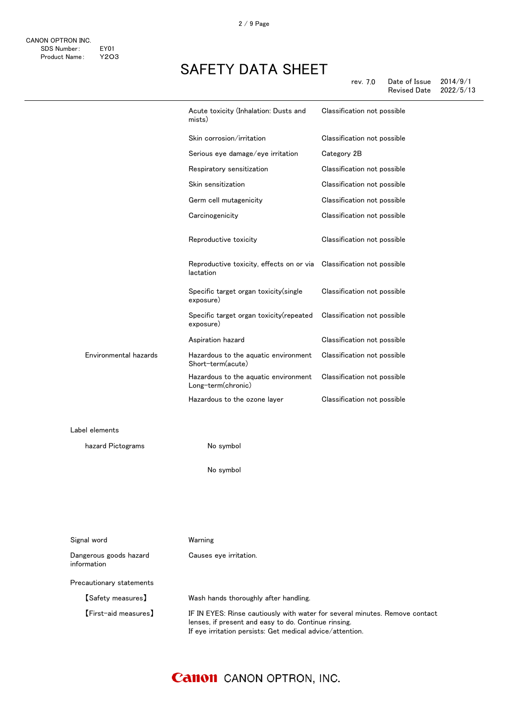|                                       | Acute toxicity (Inhalation: Dusts and<br>mists)            | Classification not possible |
|---------------------------------------|------------------------------------------------------------|-----------------------------|
|                                       | Skin corrosion/irritation                                  | Classification not possible |
|                                       | Serious eye damage/eye irritation                          | Category 2B                 |
|                                       | Respiratory sensitization                                  | Classification not possible |
|                                       | Skin sensitization                                         | Classification not possible |
|                                       | Germ cell mutagenicity                                     | Classification not possible |
|                                       | Carcinogenicity                                            | Classification not possible |
|                                       | Reproductive toxicity                                      | Classification not possible |
|                                       | Reproductive toxicity, effects on or via<br>lactation      | Classification not possible |
|                                       | Specific target organ toxicity(single<br>exposure)         | Classification not possible |
|                                       | Specific target organ toxicity(repeated<br>exposure)       | Classification not possible |
|                                       | Aspiration hazard                                          | Classification not possible |
| Environmental hazards                 | Hazardous to the aquatic environment<br>Short-term(acute)  | Classification not possible |
|                                       | Hazardous to the aquatic environment<br>Long-term(chronic) | Classification not possible |
|                                       | Hazardous to the ozone layer                               | Classification not possible |
| Label elements                        |                                                            |                             |
| hazard Pictograms                     | No symbol                                                  |                             |
|                                       | No symbol                                                  |                             |
|                                       |                                                            |                             |
| Signal word                           | Warning                                                    |                             |
| Dangerous goods hazard<br>information | Causes eye irritation.                                     |                             |
| Precautionary statements              |                                                            |                             |
| [Safety measures]                     | Wash hands thoroughly after handling.                      |                             |

【First-aid measures】 IF IN EYES: Rinse cautiously with water for several minutes. Remove contact lenses, if present and easy to do. Continue rinsing. If eye irritation persists: Get medical advice/attention.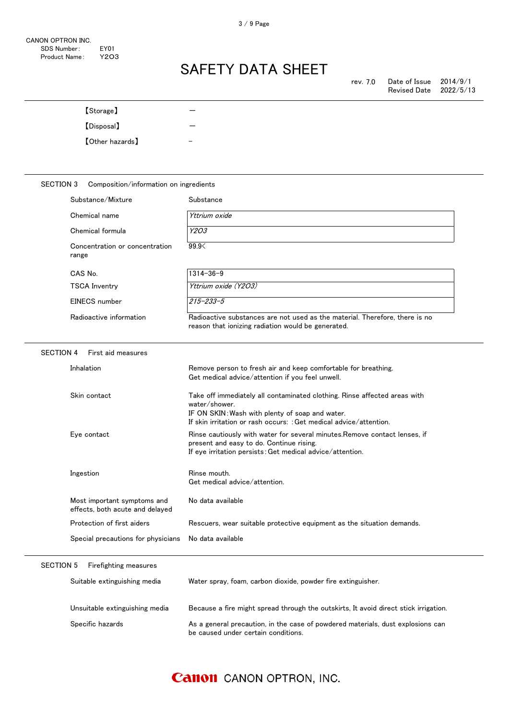| [Storage]<br>[Disposal]    |                                                                |                                                                                                                                                                                                                     |  |
|----------------------------|----------------------------------------------------------------|---------------------------------------------------------------------------------------------------------------------------------------------------------------------------------------------------------------------|--|
|                            |                                                                |                                                                                                                                                                                                                     |  |
| <b>[Other hazards]</b>     |                                                                |                                                                                                                                                                                                                     |  |
|                            |                                                                |                                                                                                                                                                                                                     |  |
| <b>SECTION 3</b>           | Composition/information on ingredients                         |                                                                                                                                                                                                                     |  |
| Substance/Mixture          |                                                                | Substance                                                                                                                                                                                                           |  |
| Chemical name              |                                                                | Yttrium oxide                                                                                                                                                                                                       |  |
| Chemical formula           |                                                                | Y2O3                                                                                                                                                                                                                |  |
| range                      | Concentration or concentration                                 | 99.9                                                                                                                                                                                                                |  |
| CAS No.                    |                                                                | $1314 - 36 - 9$                                                                                                                                                                                                     |  |
| <b>TSCA Inventry</b>       |                                                                | Yttrium oxide (Y2O3)                                                                                                                                                                                                |  |
| <b>EINECS</b> number       |                                                                | 215-233-5                                                                                                                                                                                                           |  |
| Radioactive information    |                                                                | Radioactive substances are not used as the material. Therefore, there is no<br>reason that ionizing radiation would be generated.                                                                                   |  |
| <b>SECTION 4</b>           | First aid measures                                             |                                                                                                                                                                                                                     |  |
| Inhalation                 |                                                                | Remove person to fresh air and keep comfortable for breathing.<br>Get medical advice/attention if you feel unwell.                                                                                                  |  |
| Skin contact               |                                                                | Take off immediately all contaminated clothing. Rinse affected areas with<br>water/shower.<br>IF ON SKIN: Wash with plenty of soap and water.<br>If skin irritation or rash occurs: : Get medical advice/attention. |  |
| Eye contact                |                                                                | Rinse cautiously with water for several minutes. Remove contact lenses, if<br>present and easy to do. Continue rising.<br>If eye irritation persists: Get medical advice/attention.                                 |  |
| Ingestion                  |                                                                | Rinse mouth.<br>Get medical advice/attention.                                                                                                                                                                       |  |
|                            | Most important symptoms and<br>effects, both acute and delayed | No data available                                                                                                                                                                                                   |  |
| Protection of first aiders |                                                                | Rescuers, wear suitable protective equipment as the situation demands.                                                                                                                                              |  |
|                            | Special precautions for physicians                             | No data available                                                                                                                                                                                                   |  |
|                            |                                                                |                                                                                                                                                                                                                     |  |

### SECTION 5 Firefighting measures

| Suitable extinguishing media   | Water spray, foam, carbon dioxide, powder fire extinguisher.                                                           |
|--------------------------------|------------------------------------------------------------------------------------------------------------------------|
| Unsuitable extinguishing media | Because a fire might spread through the outskirts, It avoid direct stick irrigation.                                   |
| Specific hazards               | As a general precaution, in the case of powdered materials, dust explosions can<br>be caused under certain conditions. |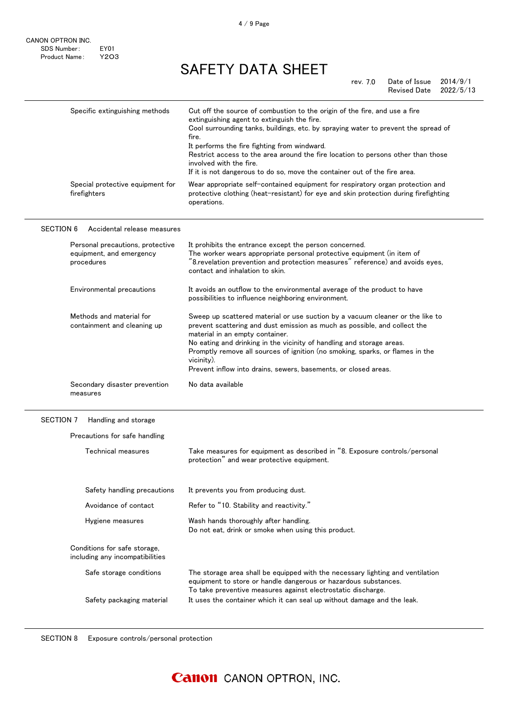|                  | Specific extinguishing methods                                             | Cut off the source of combustion to the origin of the fire, and use a fire<br>extinguishing agent to extinguish the fire.<br>Cool surrounding tanks, buildings, etc. by spraying water to prevent the spread of<br>fire.<br>It performs the fire fighting from windward.<br>Restrict access to the area around the fire location to persons other than those<br>involved with the fire.<br>If it is not dangerous to do so, move the container out of the fire area. |
|------------------|----------------------------------------------------------------------------|----------------------------------------------------------------------------------------------------------------------------------------------------------------------------------------------------------------------------------------------------------------------------------------------------------------------------------------------------------------------------------------------------------------------------------------------------------------------|
|                  | Special protective equipment for<br>firefighters                           | Wear appropriate self-contained equipment for respiratory organ protection and<br>protective clothing (heat-resistant) for eye and skin protection during firefighting<br>operations.                                                                                                                                                                                                                                                                                |
| <b>SECTION 6</b> | Accidental release measures                                                |                                                                                                                                                                                                                                                                                                                                                                                                                                                                      |
|                  | Personal precautions, protective<br>equipment, and emergency<br>procedures | It prohibits the entrance except the person concerned.<br>The worker wears appropriate personal protective equipment (in item of<br>"8.revelation prevention and protection measures" reference) and avoids eyes,<br>contact and inhalation to skin.                                                                                                                                                                                                                 |
|                  | Environmental precautions                                                  | It avoids an outflow to the environmental average of the product to have<br>possibilities to influence neighboring environment.                                                                                                                                                                                                                                                                                                                                      |
|                  | Methods and material for<br>containment and cleaning up                    | Sweep up scattered material or use suction by a vacuum cleaner or the like to<br>prevent scattering and dust emission as much as possible, and collect the<br>material in an empty container.<br>No eating and drinking in the vicinity of handling and storage areas.<br>Promptly remove all sources of ignition (no smoking, sparks, or flames in the<br>vicinity).<br>Prevent inflow into drains, sewers, basements, or closed areas.                             |
|                  | Secondary disaster prevention<br>measures                                  | No data available                                                                                                                                                                                                                                                                                                                                                                                                                                                    |

#### SECTION 7 Handling and storage

 $\overline{a}$ 

| Technical measures                                              | Take measures for equipment as described in "8. Exposure controls/personal<br>protection" and wear protective equipment.                                                                                          |
|-----------------------------------------------------------------|-------------------------------------------------------------------------------------------------------------------------------------------------------------------------------------------------------------------|
| Safety handling precautions                                     | It prevents you from producing dust.                                                                                                                                                                              |
| Avoidance of contact                                            | Refer to "10. Stability and reactivity."                                                                                                                                                                          |
| Hygiene measures                                                | Wash hands thoroughly after handling.<br>Do not eat, drink or smoke when using this product.                                                                                                                      |
| Conditions for safe storage.<br>including any incompatibilities |                                                                                                                                                                                                                   |
| Safe storage conditions                                         | The storage area shall be equipped with the necessary lighting and ventilation<br>equipment to store or handle dangerous or hazardous substances.<br>To take preventive measures against electrostatic discharge. |
| Safety packaging material                                       | It uses the container which it can seal up without damage and the leak.                                                                                                                                           |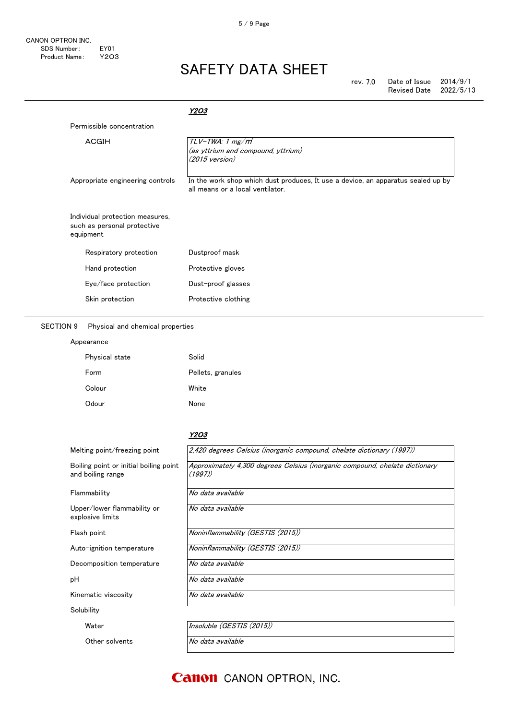| rev. 7.0 | Date of Issue       | 2014/9/1  |
|----------|---------------------|-----------|
|          | <b>Revised Date</b> | 2022/5/13 |

|                                                                             | Y2O3                                                                                                                 |
|-----------------------------------------------------------------------------|----------------------------------------------------------------------------------------------------------------------|
| Permissible concentration                                                   |                                                                                                                      |
| ACGIH                                                                       | $TLV$ -TWA: 1 mg/m <sup>*</sup><br>(as yttrium and compound, yttrium)<br>$(2015 \text{ version})$                    |
| Appropriate engineering controls                                            | In the work shop which dust produces, It use a device, an apparatus sealed up by<br>all means or a local ventilator. |
| Individual protection measures,<br>such as personal protective<br>equipment |                                                                                                                      |
| Respiratory protection                                                      | Dustproof mask                                                                                                       |
| Hand protection                                                             | Protective gloves                                                                                                    |
| Eye/face protection                                                         | Dust-proof glasses                                                                                                   |
| Skin protection                                                             | Protective clothing                                                                                                  |

SECTION 9 Physical and chemical properties

#### Appearance

| Physical state | Solid             |
|----------------|-------------------|
| Form           | Pellets, granules |
| Colour         | White             |
| Odour          | None              |

#### Y2O3

| Melting point/freezing point                                | 2,420 degrees Celsius (inorganic compound, chelate dictionary (1997))                 |  |  |
|-------------------------------------------------------------|---------------------------------------------------------------------------------------|--|--|
| Boiling point or initial boiling point<br>and boiling range | Approximately 4,300 degrees Celsius (inorganic compound, chelate dictionary<br>(1997) |  |  |
| Flammability                                                | No data available                                                                     |  |  |
| Upper/lower flammability or<br>explosive limits             | No data available                                                                     |  |  |
| Flash point                                                 | Noninflammability (GESTIS (2015))                                                     |  |  |
| Auto-ignition temperature                                   | Noninflammability (GESTIS (2015))                                                     |  |  |
| Decomposition temperature                                   | No data available                                                                     |  |  |
| рH                                                          | No data available                                                                     |  |  |
| Kinematic viscosity                                         | No data available                                                                     |  |  |
| Solubility                                                  |                                                                                       |  |  |
| Water                                                       | Insoluble (GESTIS (2015))                                                             |  |  |
| Other solvents                                              | No data available                                                                     |  |  |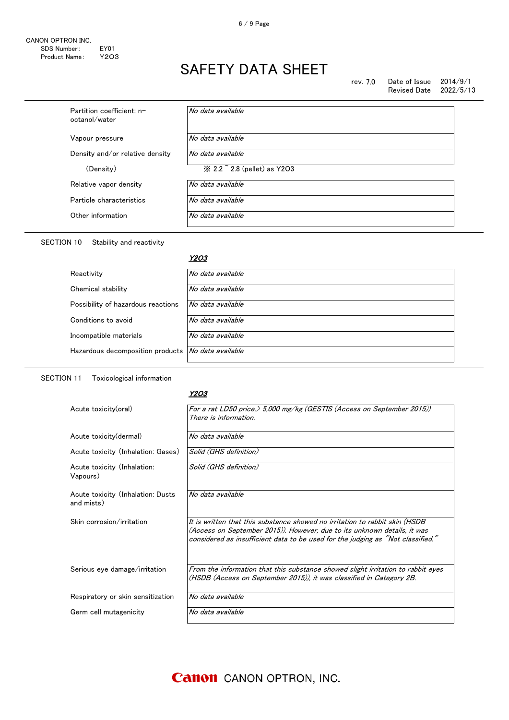| rev. 7.0 | Date of Issue $2014/9/1$ |  |
|----------|--------------------------|--|
|          | Revised Date 2022/5/13   |  |

| Partition coefficient: n-<br>octanol/water | No data available                                    |
|--------------------------------------------|------------------------------------------------------|
| Vapour pressure                            | No data available                                    |
| Density and/or relative density            | No data available                                    |
| (Density)                                  | $\frac{1}{2}$ 2.2 $\frac{1}{2}$ 2.8 (pellet) as Y2O3 |
| Relative vapor density                     | No data available                                    |
| Particle characteristics                   | No data available                                    |
| Other information                          | No data available                                    |

### SECTION 10 Stability and reactivity

#### <u>Y2O3</u>

| Reactivity                                         | No data available |
|----------------------------------------------------|-------------------|
| Chemical stability                                 | No data available |
| Possibility of hazardous reactions                 | No data available |
| Conditions to avoid                                | No data available |
| Incompatible materials                             | No data available |
| Hazardous decomposition products No data available |                   |
|                                                    |                   |

SECTION 11 Toxicological information

#### Y2O3

| Acute toxicity(oral)                            | For a rat LD50 price, $>$ 5,000 mg/kg (GESTIS (Access on September 2015))<br>There is information.                                                                                                                                         |
|-------------------------------------------------|--------------------------------------------------------------------------------------------------------------------------------------------------------------------------------------------------------------------------------------------|
| Acute toxicity (dermal)                         | No data available                                                                                                                                                                                                                          |
| Acute toxicity (Inhalation: Gases)              | Solid (GHS definition)                                                                                                                                                                                                                     |
| Acute toxicity (Inhalation:<br>Vapours)         | Solid (GHS definition)                                                                                                                                                                                                                     |
| Acute toxicity (Inhalation: Dusts<br>and mists) | No data available                                                                                                                                                                                                                          |
| Skin corrosion/irritation                       | It is written that this substance showed no irritation to rabbit skin (HSDB<br>(Access on September 2015)). However, due to its unknown details, it was<br>considered as insufficient data to be used for the judging as "Not classified." |
| Serious eye damage/irritation                   | From the information that this substance showed slight irritation to rabbit eyes<br>(HSDB (Access on September 2015)), it was classified in Category 2B.                                                                                   |
| Respiratory or skin sensitization               | No data available                                                                                                                                                                                                                          |
| Germ cell mutagenicity                          | No data available                                                                                                                                                                                                                          |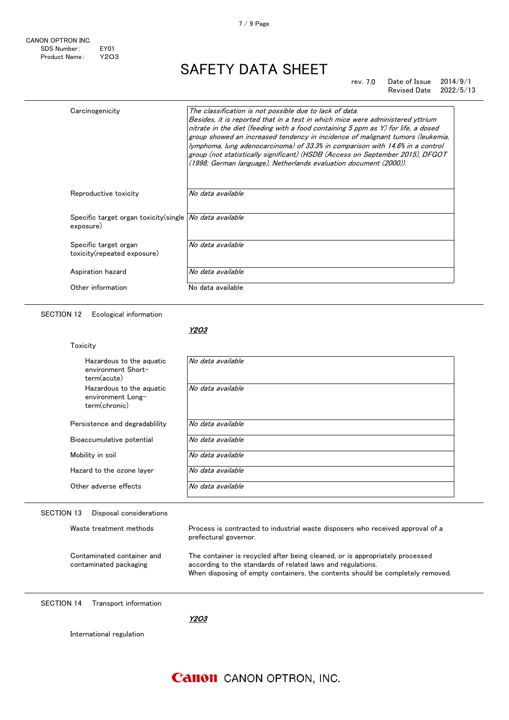#### rev. 7.0 Date of Issue 2014/9/1 Revised Date 2022/5/13

| Carcinogenicity                                                        | The classification is not possible due to lack of data.<br>Besides, it is reported that in a test in which mice were administered yttrium<br>nitrate in the diet (feeding with a food containing 5 ppm as Y) for life, a dosed<br>group showed an increased tendency in incidence of malignant tumors (leukemia,<br>lymphoma, lung adenocarcinoma) of 33.3% in comparison with 14.6% in a control<br>group (not statistically significant) (HSDB (Access on September 2015), DFGOT<br>(1998; German language), Netherlands evaluation document (2000)). |
|------------------------------------------------------------------------|---------------------------------------------------------------------------------------------------------------------------------------------------------------------------------------------------------------------------------------------------------------------------------------------------------------------------------------------------------------------------------------------------------------------------------------------------------------------------------------------------------------------------------------------------------|
| Reproductive toxicity                                                  | No data available                                                                                                                                                                                                                                                                                                                                                                                                                                                                                                                                       |
| Specific target organ toxicity(single   No data available<br>exposure) |                                                                                                                                                                                                                                                                                                                                                                                                                                                                                                                                                         |
| Specific target organ<br>toxicity(repeated exposure)                   | No data available                                                                                                                                                                                                                                                                                                                                                                                                                                                                                                                                       |
| Aspiration hazard                                                      | No data available                                                                                                                                                                                                                                                                                                                                                                                                                                                                                                                                       |
| Other information                                                      | No data available                                                                                                                                                                                                                                                                                                                                                                                                                                                                                                                                       |

SECTION 12 Ecological information

Toxicity

#### Y2O3

| Hazardous to the aguatic<br>environment Short-<br>term(acute)  | No data available |
|----------------------------------------------------------------|-------------------|
| Hazardous to the aquatic<br>environment Long-<br>term(chronic) | No data available |
| Persistence and degradability                                  | No data available |
| Bioaccumulative potential                                      | No data available |
| Mobility in soil                                               | No data available |
| Hazard to the ozone layer                                      | No data available |
| Other adverse effects                                          | No data available |

### SECTION 13 Disposal considerations

Waste treatment methods **Process** is contracted to industrial waste disposers who received approval of a prefectural governor.

Contaminated container and contaminated packaging

The container is recycled after being cleaned, or is appropriately processed according to the standards of related laws and regulations.

When disposing of empty containers, the contents should be completely removed.

SECTION 14 Transport information

Y2O3

International regulation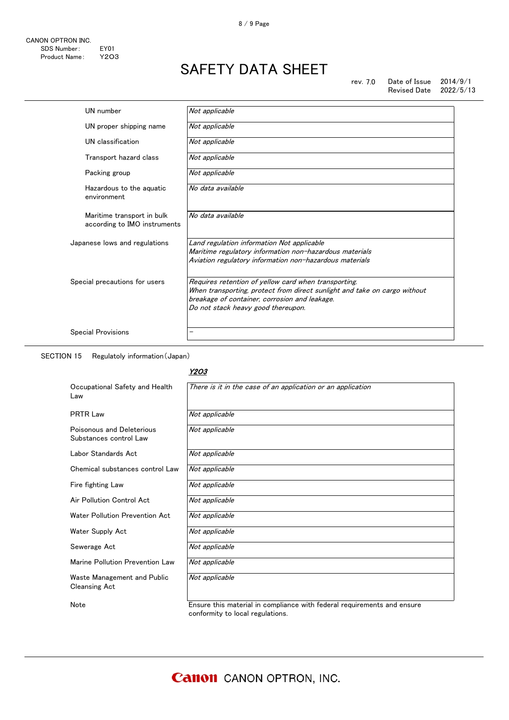| UN number                                                  | Not applicable                                                                                                                                                                                                           |
|------------------------------------------------------------|--------------------------------------------------------------------------------------------------------------------------------------------------------------------------------------------------------------------------|
| UN proper shipping name                                    | Not applicable                                                                                                                                                                                                           |
| UN classification                                          | Not applicable                                                                                                                                                                                                           |
| Transport hazard class                                     | Not applicable                                                                                                                                                                                                           |
| Packing group                                              | Not applicable                                                                                                                                                                                                           |
| Hazardous to the aguatic<br>environment                    | No data available                                                                                                                                                                                                        |
| Maritime transport in bulk<br>according to IMO instruments | No data available                                                                                                                                                                                                        |
| Japanese lows and regulations                              | Land regulation information Not applicable<br>Maritime regulatory information non-hazardous materials                                                                                                                    |
|                                                            | Aviation regulatory information non-hazardous materials                                                                                                                                                                  |
| Special precautions for users                              | Requires retention of yellow card when transporting.<br>When transporting, protect from direct sunlight and take on cargo without<br>breakage of container, corrosion and leakage.<br>Do not stack heavy good thereupon. |
| <b>Special Provisions</b>                                  | —                                                                                                                                                                                                                        |

SECTION 15 Regulatoly information(Japan)

### Y2O3

| Occupational Safety and Health<br>Law               | There is it in the case of an application or an application             |
|-----------------------------------------------------|-------------------------------------------------------------------------|
| <b>PRTR Law</b>                                     | Not applicable                                                          |
| Poisonous and Deleterious<br>Substances control Law | Not applicable                                                          |
| Labor Standards Act                                 | Not applicable                                                          |
| Chemical substances control Law                     | Not applicable                                                          |
| Fire fighting Law                                   | Not applicable                                                          |
| Air Pollution Control Act                           | Not applicable                                                          |
| Water Pollution Prevention Act                      | Not applicable                                                          |
| Water Supply Act                                    | Not applicable                                                          |
| Sewerage Act                                        | Not applicable                                                          |
| Marine Pollution Prevention Law                     | Not applicable                                                          |
| Waste Management and Public<br><b>Cleansing Act</b> | Not applicable                                                          |
| Note                                                | Ensure this material in compliance with federal requirements and ensure |

conformity to local regulations.